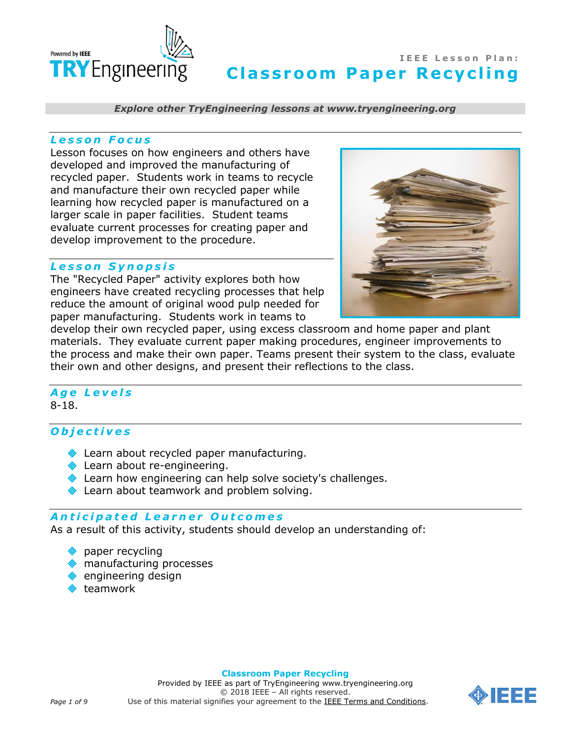

*Explore other TryEngineering lessons at www.tryengineering.org*

#### *L e s s o n F o c u s*

Lesson focuses on how engineers and others have developed and improved the manufacturing of recycled paper. Students work in teams to recycle and manufacture their own recycled paper while learning how recycled paper is manufactured on a larger scale in paper facilities. Student teams evaluate current processes for creating paper and develop improvement to the procedure.

#### *L e s s o n S y n o p s i s*

The "Recycled Paper" activity explores both how engineers have created recycling processes that help reduce the amount of original wood pulp needed for paper manufacturing. Students work in teams to



develop their own recycled paper, using excess classroom and home paper and plant materials. They evaluate current paper making procedures, engineer improvements to the process and make their own paper. Teams present their system to the class, evaluate their own and other designs, and present their reflections to the class.

#### *A g e L e v e l s* 8-18.

## *O b j e c t i v e s*

- **Exam** about recycled paper manufacturing.
- **Learn about re-engineering.**
- **Exam how engineering can help solve society's challenges.**
- **Exammata Leamwork and problem solving.**

#### *A n t i c i p a t e d L e a r n e r O u t c o m e s*

As a result of this activity, students should develop an understanding of:

- **paper recycling**
- manufacturing processes
- engineering design
- teamwork

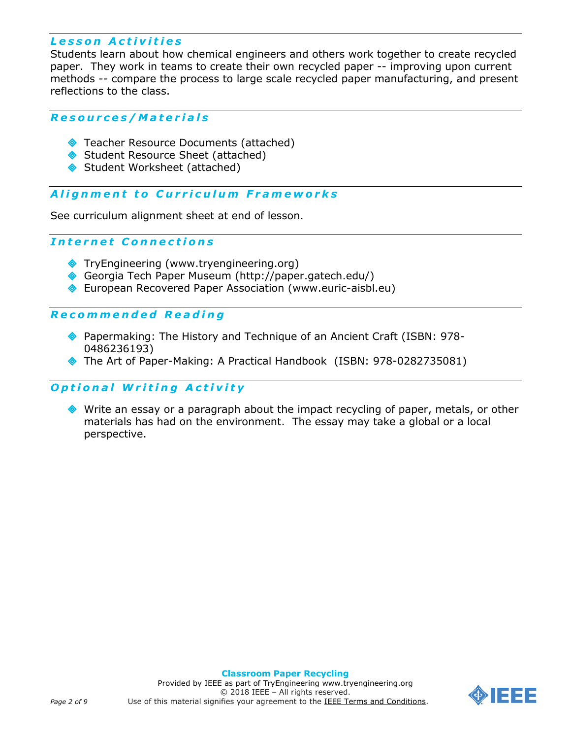# *L e s s o n A c t i v i t i e s*

Students learn about how chemical engineers and others work together to create recycled paper. They work in teams to create their own recycled paper -- improving upon current methods -- compare the process to large scale recycled paper manufacturing, and present reflections to the class.

### *R e s o u r c e s / M a t e r i a l s*

- ◆ Teacher Resource Documents (attached)
- Student Resource Sheet (attached)
- Student Worksheet (attached)

## A *lignment to Curriculum Frameworks*

See curriculum alignment sheet at end of lesson.

# *I n t e r n e t C o n n e c t i o n s*

- TryEngineering (www.tryengineering.org)
- Georgia Tech Paper Museum (http://paper.gatech.edu/)
- European Recovered Paper Association (www.euric-aisbl.eu)

#### *R e c o m m e n d e d R e a d i n g*

- Papermaking: The History and Technique of an Ancient Craft (ISBN: 978- 0486236193)
- The Art of Paper-Making: A Practical Handbook (ISBN: 978-0282735081)

## **Optional Writing Activity**

 Write an essay or a paragraph about the impact recycling of paper, metals, or other materials has had on the environment. The essay may take a global or a local perspective.

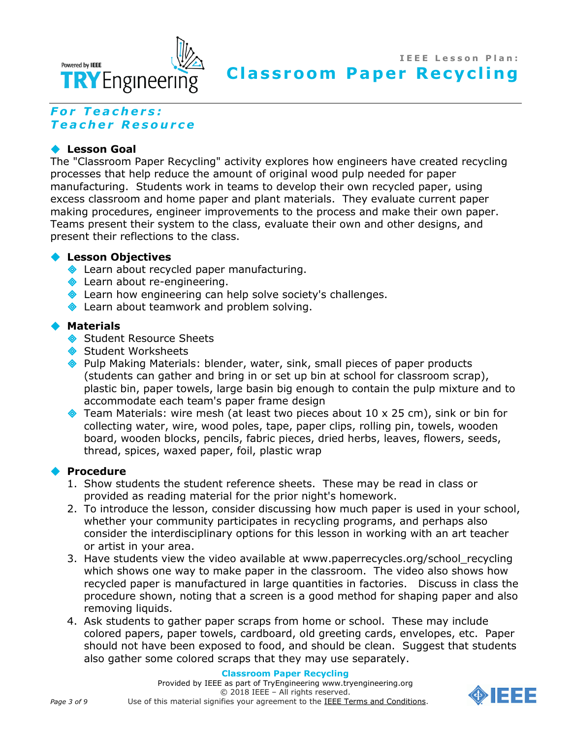

# *F o r T e a c h e r s : T e a c h e r R e s o u r c e*

### **Lesson Goal**

The "Classroom Paper Recycling" activity explores how engineers have created recycling processes that help reduce the amount of original wood pulp needed for paper manufacturing. Students work in teams to develop their own recycled paper, using excess classroom and home paper and plant materials. They evaluate current paper making procedures, engineer improvements to the process and make their own paper. Teams present their system to the class, evaluate their own and other designs, and present their reflections to the class.

#### **Lesson Objectives**

- **Exam about recycled paper manufacturing.**
- **Example 20 Learn about re-engineering.**
- **Exam how engineering can help solve society's challenges.**
- **Exammed Leans and Sepannic Solving.** Allemannic Learn about teamwork and problem solving.

#### **Materials**

- Student Resource Sheets
- Student Worksheets
- Pulp Making Materials: blender, water, sink, small pieces of paper products (students can gather and bring in or set up bin at school for classroom scrap), plastic bin, paper towels, large basin big enough to contain the pulp mixture and to accommodate each team's paper frame design
- $\triangleleft$  Team Materials: wire mesh (at least two pieces about 10 x 25 cm), sink or bin for collecting water, wire, wood poles, tape, paper clips, rolling pin, towels, wooden board, wooden blocks, pencils, fabric pieces, dried herbs, leaves, flowers, seeds, thread, spices, waxed paper, foil, plastic wrap

### **Procedure**

- 1. Show students the student reference sheets. These may be read in class or provided as reading material for the prior night's homework.
- 2. To introduce the lesson, consider discussing how much paper is used in your school, whether your community participates in recycling programs, and perhaps also consider the interdisciplinary options for this lesson in working with an art teacher or artist in your area.
- 3. Have students view the video available at www.paperrecycles.org/school\_recycling which shows one way to make paper in the classroom. The video also shows how recycled paper is manufactured in large quantities in factories. Discuss in class the procedure shown, noting that a screen is a good method for shaping paper and also removing liquids.
- 4. Ask students to gather paper scraps from home or school. These may include colored papers, paper towels, cardboard, old greeting cards, envelopes, etc. Paper should not have been exposed to food, and should be clean. Suggest that students also gather some colored scraps that they may use separately.

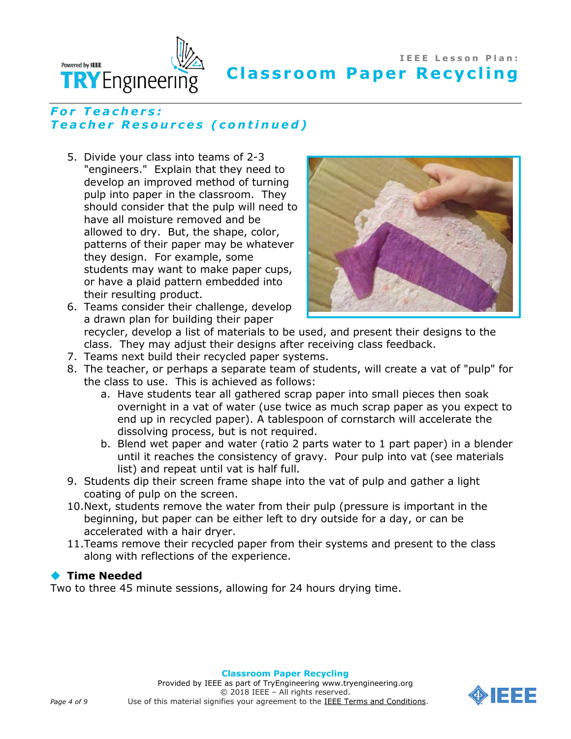

## *F o r T e a c h e r s : T e a c h e r R e s o u r c e s ( c o n t i n u e d )*

5. Divide your class into teams of 2-3 "engineers." Explain that they need to develop an improved method of turning pulp into paper in the classroom. They should consider that the pulp will need to have all moisture removed and be allowed to dry. But, the shape, color, patterns of their paper may be whatever they design. For example, some students may want to make paper cups, or have a plaid pattern embedded into their resulting product. 6. Teams consider their challenge, develop



a drawn plan for building their paper recycler, develop a list of materials to be used, and present their designs to the class. They may adjust their designs after receiving class feedback.

- 7. Teams next build their recycled paper systems.
- 8. The teacher, or perhaps a separate team of students, will create a vat of "pulp" for the class to use. This is achieved as follows:
	- a. Have students tear all gathered scrap paper into small pieces then soak overnight in a vat of water (use twice as much scrap paper as you expect to end up in recycled paper). A tablespoon of cornstarch will accelerate the dissolving process, but is not required.
	- b. Blend wet paper and water (ratio 2 parts water to 1 part paper) in a blender until it reaches the consistency of gravy. Pour pulp into vat (see materials list) and repeat until vat is half full.
- 9. Students dip their screen frame shape into the vat of pulp and gather a light coating of pulp on the screen.
- 10.Next, students remove the water from their pulp (pressure is important in the beginning, but paper can be either left to dry outside for a day, or can be accelerated with a hair dryer.
- 11.Teams remove their recycled paper from their systems and present to the class along with reflections of the experience.

### **◆ Time Needed**

Two to three 45 minute sessions, allowing for 24 hours drying time.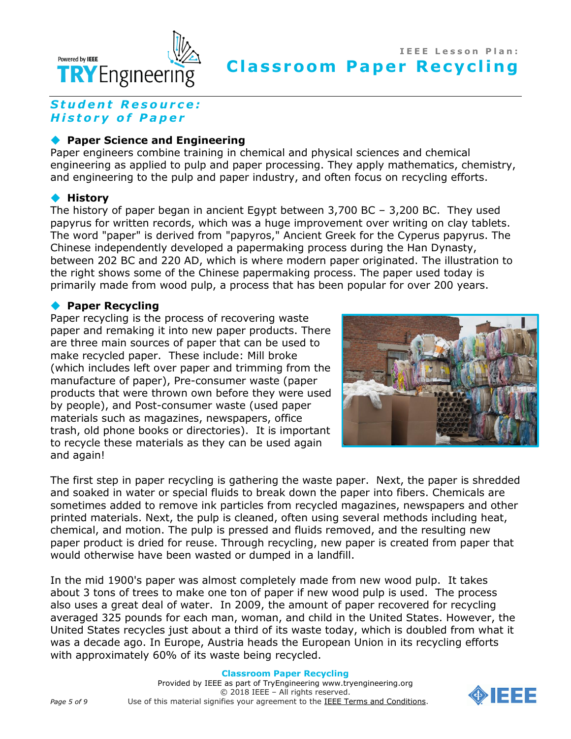

# *S t u d e n t R e s o u r c e : H i s t o r y o f P a p e r*

### **Paper Science and Engineering**

Paper engineers combine training in chemical and physical sciences and chemical engineering as applied to pulp and paper processing. They apply mathematics, chemistry, and engineering to the pulp and paper industry, and often focus on recycling efforts.

### **History**

The history of paper began in ancient Egypt between 3,700 BC – 3,200 BC. They used papyrus for written records, which was a huge improvement over writing on clay tablets. The word "paper" is derived from "papyros," Ancient Greek for the Cyperus papyrus. The Chinese independently developed a papermaking process during the Han Dynasty, between 202 BC and 220 AD, which is where modern paper originated. The illustration to the right shows some of the Chinese papermaking process. The paper used today is primarily made from wood pulp, a process that has been popular for over 200 years.

### **Paper Recycling**

Paper recycling is the process of recovering waste paper and remaking it into new paper products. There are three main sources of paper that can be used to make recycled paper. These include: Mill broke (which includes left over paper and trimming from the manufacture of paper), Pre-consumer waste (paper products that were thrown own before they were used by people), and Post-consumer waste (used paper materials such as magazines, newspapers, office trash, old phone books or directories). It is important to recycle these materials as they can be used again and again!



The first step in paper recycling is gathering the waste paper. Next, the paper is shredded and soaked in water or special fluids to break down the paper into fibers. Chemicals are sometimes added to remove ink particles from recycled magazines, newspapers and other printed materials. Next, the pulp is cleaned, often using several methods including heat, chemical, and motion. The pulp is pressed and fluids removed, and the resulting new paper product is dried for reuse. Through recycling, new paper is created from paper that would otherwise have been wasted or dumped in a landfill.

In the mid 1900's paper was almost completely made from new wood pulp. It takes about 3 tons of trees to make one ton of paper if new wood pulp is used. The process also uses a great deal of water. In 2009, the amount of paper recovered for recycling averaged 325 pounds for each man, woman, and child in the United States. However, the United States recycles just about a third of its waste today, which is doubled from what it was a decade ago. In Europe, Austria heads the European Union in its recycling efforts with approximately 60% of its waste being recycled.

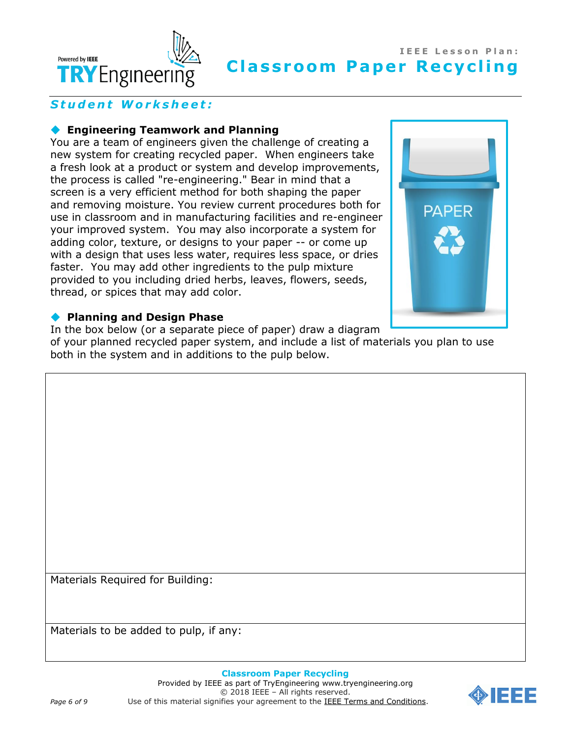

# Student Worksheet:

### **Engineering Teamwork and Planning**

You are a team of engineers given the challenge of creating a new system for creating recycled paper. When engineers take a fresh look at a product or system and develop improvements, the process is called "re-engineering." Bear in mind that a screen is a very efficient method for both shaping the paper and removing moisture. You review current procedures both for use in classroom and in manufacturing facilities and re-engineer your improved system. You may also incorporate a system for adding color, texture, or designs to your paper -- or come up with a design that uses less water, requires less space, or dries faster. You may add other ingredients to the pulp mixture provided to you including dried herbs, leaves, flowers, seeds, thread, or spices that may add color.



#### **Planning and Design Phase**

In the box below (or a separate piece of paper) draw a diagram

of your planned recycled paper system, and include a list of materials you plan to use both in the system and in additions to the pulp below.

Materials Required for Building:

Materials to be added to pulp, if any:

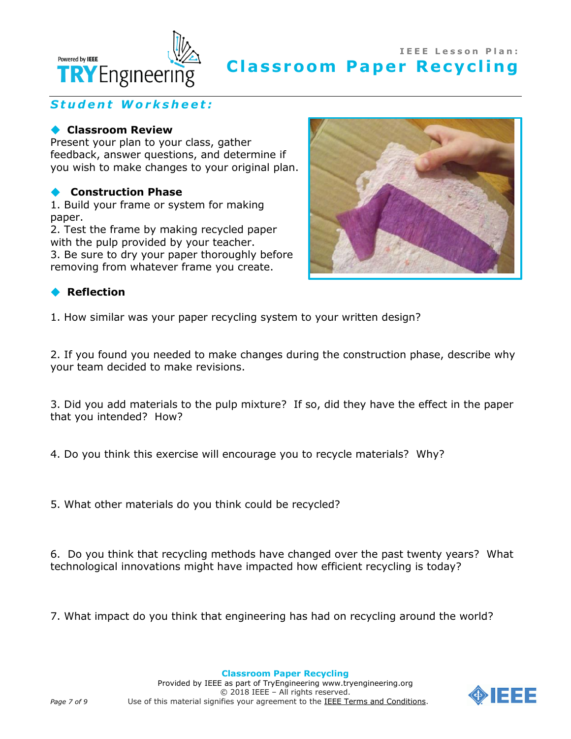

# *S t u d e n t W o r k s h e e t :*

### **Classroom Review**

Present your plan to your class, gather feedback, answer questions, and determine if you wish to make changes to your original plan.

### **Construction Phase**

1. Build your frame or system for making paper.

2. Test the frame by making recycled paper with the pulp provided by your teacher.

3. Be sure to dry your paper thoroughly before removing from whatever frame you create.



## **Reflection**

1. How similar was your paper recycling system to your written design?

2. If you found you needed to make changes during the construction phase, describe why your team decided to make revisions.

3. Did you add materials to the pulp mixture? If so, did they have the effect in the paper that you intended? How?

4. Do you think this exercise will encourage you to recycle materials? Why?

5. What other materials do you think could be recycled?

6. Do you think that recycling methods have changed over the past twenty years? What technological innovations might have impacted how efficient recycling is today?

7. What impact do you think that engineering has had on recycling around the world?

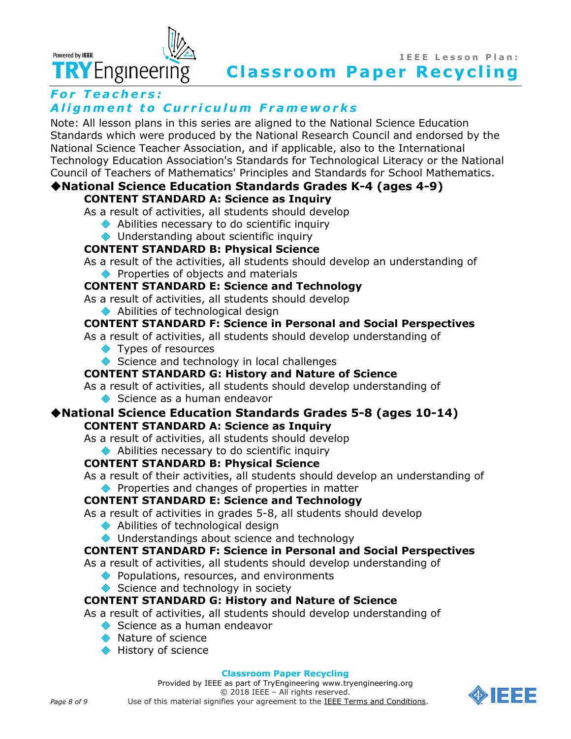

# *For Teachers:* **Alignment to Curriculum Frameworks**

Note: All lesson plans in this series are aligned to the [National Science Education](http://www.nap.edu/books/0309053269/html/index.html)  [Standards](http://www.nap.edu/books/0309053269/html/index.html) which were produced by the National Research Council and endorsed by the National Science Teacher Association, and if applicable, also to the International Technology Education Association's Standards for Technological Literacy or the National Council of Teachers of Mathematics' Principles and Standards for School Mathematics.

#### **[National Science Education Standards](http://www.nap.edu/books/0309053269/html/index.html) Grades K-4 (ages 4-9) CONTENT STANDARD A: Science as Inquiry**

As a result of activities, all students should develop

- ◆ Abilities necessary to do scientific inquiry
- ◆ Understanding about scientific inquiry

# **CONTENT STANDARD B: Physical Science**

As a result of the activities, all students should develop an understanding of ◆ Properties of objects and materials

# **CONTENT STANDARD E: Science and Technology**

As a result of activities, all students should develop

◆ Abilities of technological design

# **CONTENT STANDARD F: Science in Personal and Social Perspectives**

As a result of activities, all students should develop understanding of

- **◆** Types of resources
- Science and technology in local challenges

## **CONTENT STANDARD G: History and Nature of Science**

As a result of activities, all students should develop understanding of Science as a human endeavor

### **[National Science Education Standards](http://www.nap.edu/books/0309053269/html/index.html) Grades 5-8 (ages 10-14) CONTENT STANDARD A: Science as Inquiry**

As a result of activities, all students should develop

◆ Abilities necessary to do scientific inquiry

# **CONTENT STANDARD B: Physical Science**

As a result of their activities, all students should develop an understanding of ◆ Properties and changes of properties in matter

# **CONTENT STANDARD E: Science and Technology**

As a result of activities in grades 5-8, all students should develop

- ◆ Abilities of technological design
- ◆ Understandings about science and technology

## **CONTENT STANDARD F: Science in Personal and Social Perspectives**

As a result of activities, all students should develop understanding of

- ◆ Populations, resources, and environments
- Science and technology in society

## **CONTENT STANDARD G: History and Nature of Science**

As a result of activities, all students should develop understanding of

- Science as a human endeavor
- **Nature of science**
- **◆** History of science

#### **Classroom Paper Recycling**